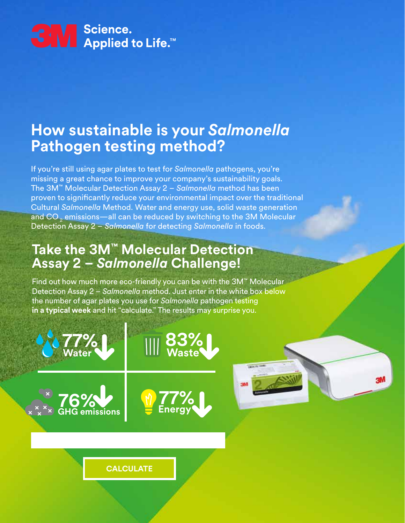

### **How sustainable is your** *Salmonella* **Pathogen testing method?**

If you're still using agar plates to test for *Salmonella* pathogens, you're missing a great chance to improve your company's sustainability goals. The 3M™ Molecular Detection Assay 2 – *Salmonella* method has been proven to significantly reduce your environmental impact over the traditional Cultural *Salmonella* Method. Water and energy use, solid waste generation and CO<sub>2</sub> emissions—all can be reduced by switching to the 3M Molecular Detection Assay 2 – *Salmonella* for detecting *Salmonella* in foods.

#### **Take the 3M™ Molecular Detection Assay 2 –** *Salmonella* **Challenge!**

**Water GHG EMILY Waste** 

**CALCULATE** 

**Example 2**  $\times \times \times \times$  GHG emissions

**GHG** Water

**77%**

**77%**

**76%**

**77%**

**76%**

Find out how much more eco-friendly you can be with the 3M™ Molecular Detection Assay 2 – *Salmonella* method. Just enter in the white box below the number of agar plates you use for *Salmonella* pathogen testing **in a typical week** and hit "calculate." The results may surprise you.

> **77% Energy**

**76% 83% Waste**

**83%**

**Energy** 

**77% Water**

**83% Waste**

**76%**